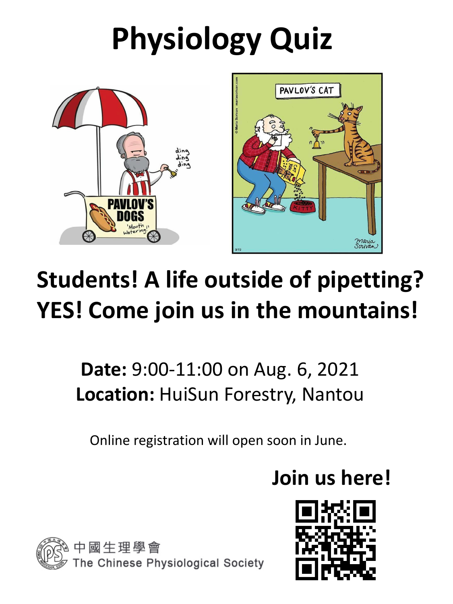# **Physiology Quiz**





### **Students! A life outside of pipetting? YES! Come join us in the mountains!**

**Date:** 9:00-11:00 on Aug. 6, 2021 **Location:** HuiSun Forestry, Nantou

#### Online registration will open soon in June.

### **Join us here!**

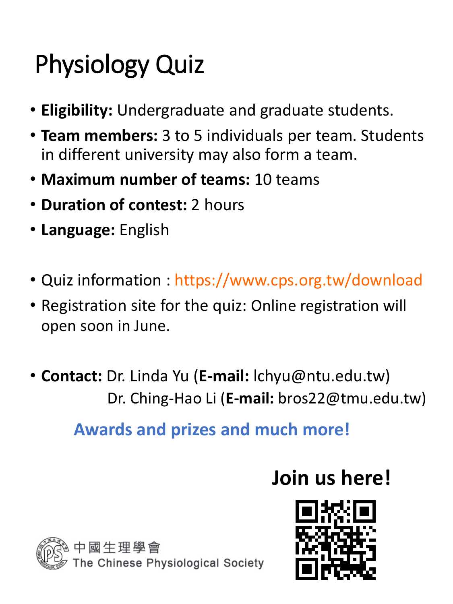## Physiology Quiz

- **Eligibility:** Undergraduate and graduate students.
- **Team members:** 3 to 5 individuals per team. Students in different university may also form a team.
- **Maximum number of teams:** 10 teams
- **Duration of contest:** 2 hours
- **Language:** English
- Quiz information : https://www.cps.org.tw/download
- Registration site for the quiz: Online registration will open soon in June.
- **Contact:** Dr. Linda Yu (**E-mail:** lchyu@ntu.edu.tw) Dr. Ching-Hao Li (**E-mail:** bros22@tmu.edu.tw)

#### **Awards and prizes and much more!**

### **Join us here!**



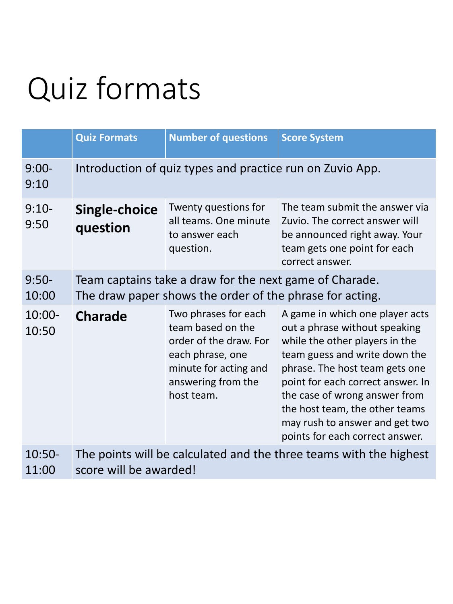# Quiz formats

|                    | <b>Quiz Formats</b>                                                                                                 | <b>Number of questions</b>                                                                                                                           | <b>Score System</b>                                                                                                                                                                                                                                                                                          |
|--------------------|---------------------------------------------------------------------------------------------------------------------|------------------------------------------------------------------------------------------------------------------------------------------------------|--------------------------------------------------------------------------------------------------------------------------------------------------------------------------------------------------------------------------------------------------------------------------------------------------------------|
| $9:00-$<br>9:10    | Introduction of quiz types and practice run on Zuvio App.                                                           |                                                                                                                                                      |                                                                                                                                                                                                                                                                                                              |
| $9:10-$<br>9:50    | <b>Single-choice</b><br>question                                                                                    | Twenty questions for<br>all teams. One minute<br>to answer each<br>question.                                                                         | The team submit the answer via<br>Zuvio. The correct answer will<br>be announced right away. Your<br>team gets one point for each<br>correct answer.                                                                                                                                                         |
| $9:50-$<br>10:00   | Team captains take a draw for the next game of Charade.<br>The draw paper shows the order of the phrase for acting. |                                                                                                                                                      |                                                                                                                                                                                                                                                                                                              |
| $10:00 -$<br>10:50 | <b>Charade</b>                                                                                                      | Two phrases for each<br>team based on the<br>order of the draw. For<br>each phrase, one<br>minute for acting and<br>answering from the<br>host team. | A game in which one player acts<br>out a phrase without speaking<br>while the other players in the<br>team guess and write down the<br>phrase. The host team gets one<br>point for each correct answer. In<br>the case of wrong answer from<br>the host team, the other teams<br>$h$ to ancurar and got turn |

may rush to answer and get two points for each correct answer.

#### 10:50- 11:00 The points will be calculated and the three teams with the highest score will be awarded!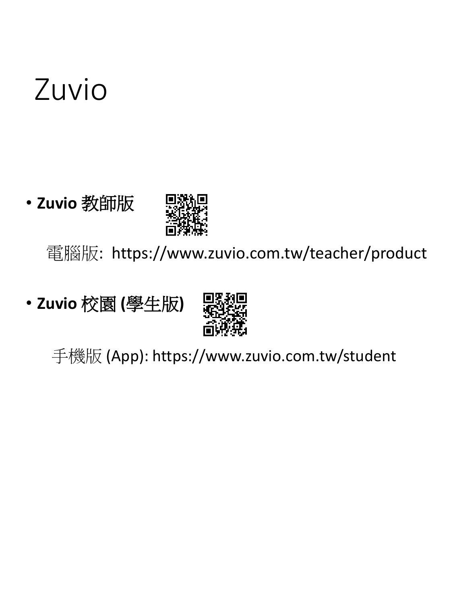# Zuvio

#### • **Zuvio** 教師版



電腦版: https://www.zuvio.com.tw/teacher/product

• **Zuvio** 校園 **(**學生版**)**



手機版 (App): https://www.zuvio.com.tw/student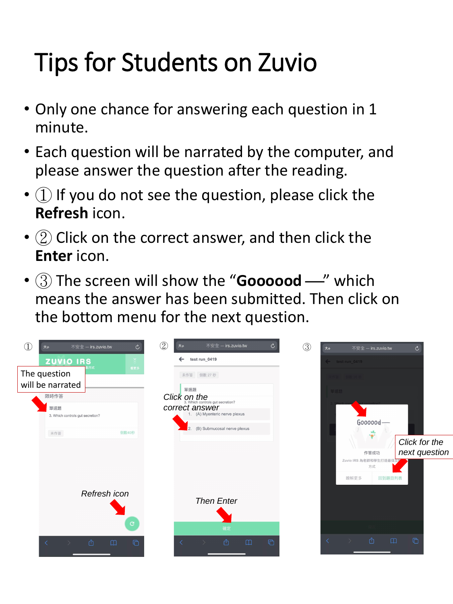# Tips for Students on Zuvio

- Only one chance for answering each question in 1 minute.
- Each question will be narrated by the computer, and please answer the question after the reading.
- $(1)$  If you do not see the question, please click the **Refresh** icon.
- $\bullet$  (2) Click on the correct answer, and then click the **Enter** icon.
- (3) The screen will show the "**Goooood** —" which means the answer has been submitted. Then click on the bottom menu for the next question.